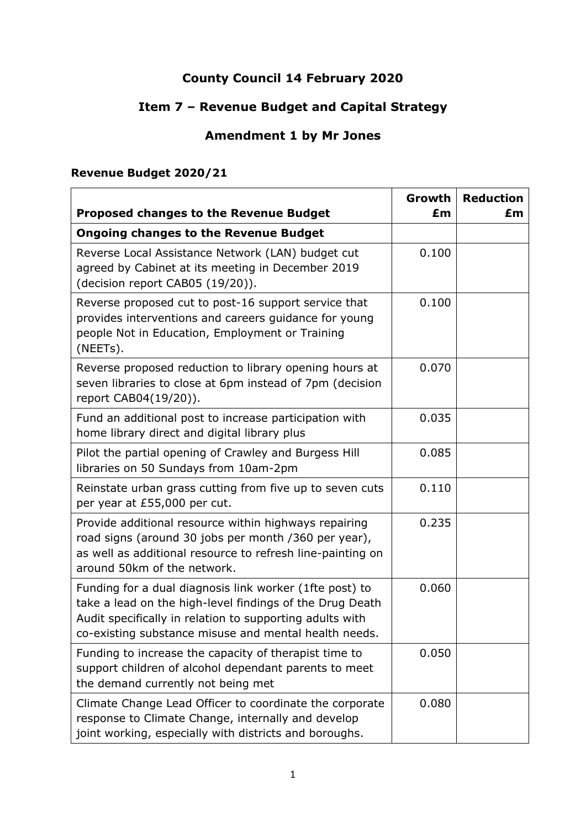# **County Council 14 February 2020**

# **Item 7 – Revenue Budget and Capital Strategy**

## **Amendment 1 by Mr Jones**

### **Revenue Budget 2020/21**

| <b>Proposed changes to the Revenue Budget</b>                                                                                                                                                                                            | Growth<br>£m | <b>Reduction</b><br>£m |
|------------------------------------------------------------------------------------------------------------------------------------------------------------------------------------------------------------------------------------------|--------------|------------------------|
| <b>Ongoing changes to the Revenue Budget</b>                                                                                                                                                                                             |              |                        |
| Reverse Local Assistance Network (LAN) budget cut<br>agreed by Cabinet at its meeting in December 2019<br>(decision report CAB05 (19/20)).                                                                                               | 0.100        |                        |
| Reverse proposed cut to post-16 support service that<br>provides interventions and careers guidance for young<br>people Not in Education, Employment or Training<br>(NEETs).                                                             | 0.100        |                        |
| Reverse proposed reduction to library opening hours at<br>seven libraries to close at 6pm instead of 7pm (decision<br>report CAB04(19/20)).                                                                                              | 0.070        |                        |
| Fund an additional post to increase participation with<br>home library direct and digital library plus                                                                                                                                   | 0.035        |                        |
| Pilot the partial opening of Crawley and Burgess Hill<br>libraries on 50 Sundays from 10am-2pm                                                                                                                                           | 0.085        |                        |
| Reinstate urban grass cutting from five up to seven cuts<br>per year at £55,000 per cut.                                                                                                                                                 | 0.110        |                        |
| Provide additional resource within highways repairing<br>road signs (around 30 jobs per month / 360 per year),<br>as well as additional resource to refresh line-painting on<br>around 50km of the network.                              | 0.235        |                        |
| Funding for a dual diagnosis link worker (1fte post) to<br>take a lead on the high-level findings of the Drug Death<br>Audit specifically in relation to supporting adults with<br>co-existing substance misuse and mental health needs. | 0.060        |                        |
| Funding to increase the capacity of therapist time to<br>support children of alcohol dependant parents to meet<br>the demand currently not being met                                                                                     | 0.050        |                        |
| Climate Change Lead Officer to coordinate the corporate<br>response to Climate Change, internally and develop<br>joint working, especially with districts and boroughs.                                                                  | 0.080        |                        |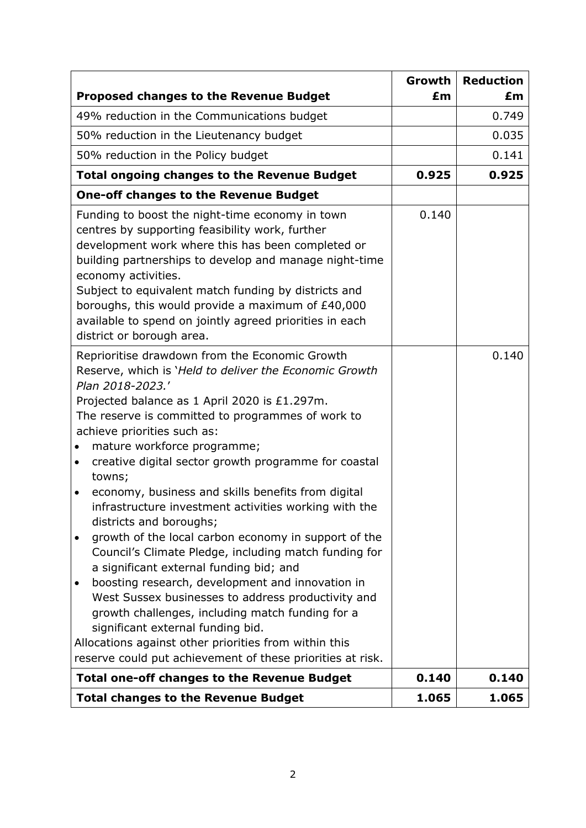|                                                                                                                                                                                                                                                                                                                                                                                                                                                                                                                                                                                                                                                                                                                                                                                                                                                                                                                                                                                                                                                        | Growth | <b>Reduction</b> |
|--------------------------------------------------------------------------------------------------------------------------------------------------------------------------------------------------------------------------------------------------------------------------------------------------------------------------------------------------------------------------------------------------------------------------------------------------------------------------------------------------------------------------------------------------------------------------------------------------------------------------------------------------------------------------------------------------------------------------------------------------------------------------------------------------------------------------------------------------------------------------------------------------------------------------------------------------------------------------------------------------------------------------------------------------------|--------|------------------|
| <b>Proposed changes to the Revenue Budget</b>                                                                                                                                                                                                                                                                                                                                                                                                                                                                                                                                                                                                                                                                                                                                                                                                                                                                                                                                                                                                          | £m     | £m               |
| 49% reduction in the Communications budget                                                                                                                                                                                                                                                                                                                                                                                                                                                                                                                                                                                                                                                                                                                                                                                                                                                                                                                                                                                                             |        | 0.749            |
| 50% reduction in the Lieutenancy budget                                                                                                                                                                                                                                                                                                                                                                                                                                                                                                                                                                                                                                                                                                                                                                                                                                                                                                                                                                                                                |        | 0.035            |
| 50% reduction in the Policy budget                                                                                                                                                                                                                                                                                                                                                                                                                                                                                                                                                                                                                                                                                                                                                                                                                                                                                                                                                                                                                     |        | 0.141            |
| <b>Total ongoing changes to the Revenue Budget</b>                                                                                                                                                                                                                                                                                                                                                                                                                                                                                                                                                                                                                                                                                                                                                                                                                                                                                                                                                                                                     | 0.925  | 0.925            |
| <b>One-off changes to the Revenue Budget</b>                                                                                                                                                                                                                                                                                                                                                                                                                                                                                                                                                                                                                                                                                                                                                                                                                                                                                                                                                                                                           |        |                  |
| Funding to boost the night-time economy in town<br>centres by supporting feasibility work, further<br>development work where this has been completed or<br>building partnerships to develop and manage night-time<br>economy activities.<br>Subject to equivalent match funding by districts and<br>boroughs, this would provide a maximum of £40,000<br>available to spend on jointly agreed priorities in each<br>district or borough area.                                                                                                                                                                                                                                                                                                                                                                                                                                                                                                                                                                                                          | 0.140  |                  |
| Reprioritise drawdown from the Economic Growth<br>Reserve, which is 'Held to deliver the Economic Growth<br>Plan 2018-2023.'<br>Projected balance as 1 April 2020 is £1.297m.<br>The reserve is committed to programmes of work to<br>achieve priorities such as:<br>mature workforce programme;<br>$\bullet$<br>creative digital sector growth programme for coastal<br>$\bullet$<br>towns;<br>economy, business and skills benefits from digital<br>$\bullet$<br>infrastructure investment activities working with the<br>districts and boroughs;<br>growth of the local carbon economy in support of the<br>Council's Climate Pledge, including match funding for<br>a significant external funding bid; and<br>boosting research, development and innovation in<br>$\bullet$<br>West Sussex businesses to address productivity and<br>growth challenges, including match funding for a<br>significant external funding bid.<br>Allocations against other priorities from within this<br>reserve could put achievement of these priorities at risk. |        | 0.140            |
| <b>Total one-off changes to the Revenue Budget</b>                                                                                                                                                                                                                                                                                                                                                                                                                                                                                                                                                                                                                                                                                                                                                                                                                                                                                                                                                                                                     | 0.140  | 0.140            |
| <b>Total changes to the Revenue Budget</b>                                                                                                                                                                                                                                                                                                                                                                                                                                                                                                                                                                                                                                                                                                                                                                                                                                                                                                                                                                                                             | 1.065  | 1.065            |